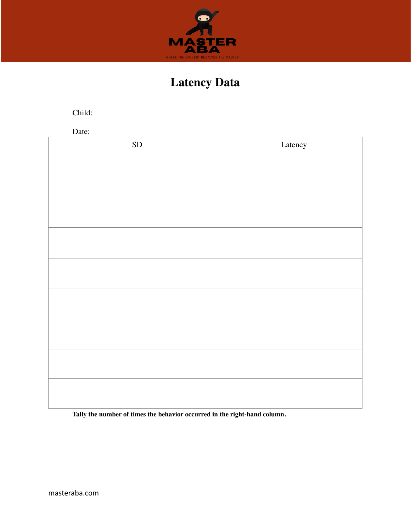

## **Latency Data**

Child:

Date:

| ${\rm SD}$ | Latency |
|------------|---------|
|            |         |
|            |         |
|            |         |
|            |         |
|            |         |
|            |         |
|            |         |
|            |         |
|            |         |
|            |         |
|            |         |
|            |         |
|            |         |
|            |         |
|            |         |
|            |         |
|            |         |

**Tally the number of times the behavior occurred in the right-hand column.**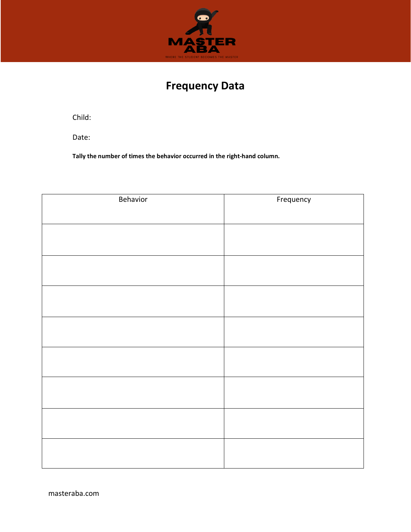

#### **Frequency Data**

Child:

Date:

**Tally the number of times the behavior occurred in the right-hand column.**

| Behavior | Frequency |
|----------|-----------|
|          |           |
|          |           |
|          |           |
|          |           |
|          |           |
|          |           |
|          |           |
|          |           |
|          |           |
|          |           |
|          |           |
|          |           |
|          |           |
|          |           |
|          |           |
|          |           |
|          |           |
|          |           |
|          |           |
|          |           |
|          |           |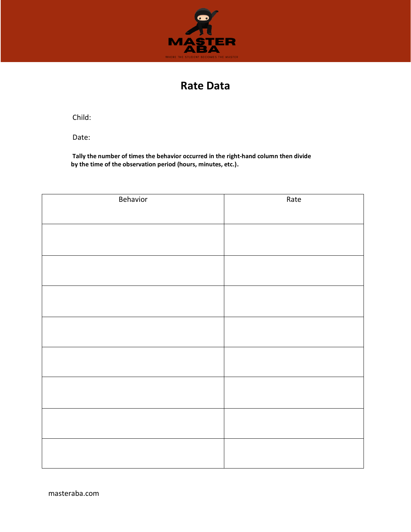

#### **Rate Data**

Child:

Date:

**Tally the number of times the behavior occurred in the right-hand column then divide by the time of the observation period (hours, minutes, etc.).**

| Behavior | Rate |
|----------|------|
|          |      |
|          |      |
|          |      |
|          |      |
|          |      |
|          |      |
|          |      |
|          |      |
|          |      |
|          |      |
|          |      |
|          |      |
|          |      |
|          |      |
|          |      |
|          |      |
|          |      |
|          |      |
|          |      |
|          |      |
|          |      |
|          |      |
|          |      |
|          |      |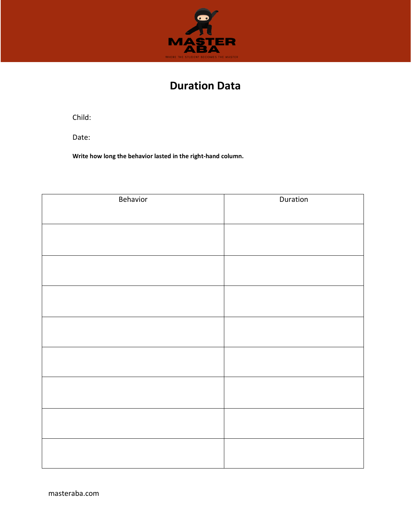

### **Duration Data**

Child:

Date:

**Write how long the behavior lasted in the right-hand column.**

| Behavior | Duration |
|----------|----------|
|          |          |
|          |          |
|          |          |
|          |          |
|          |          |
|          |          |
|          |          |
|          |          |
|          |          |
|          |          |
|          |          |
|          |          |
|          |          |
|          |          |
|          |          |
|          |          |
|          |          |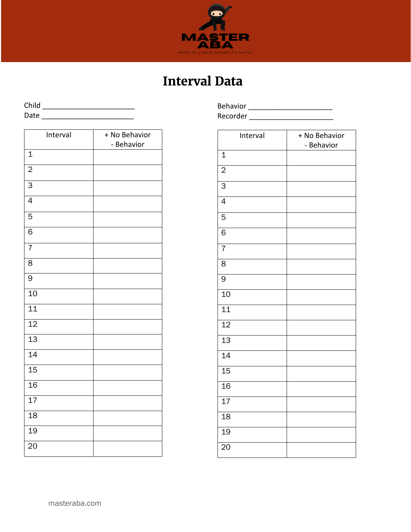

# **Interval Data**

Child \_\_\_\_\_\_\_\_\_\_\_\_\_\_\_\_\_\_\_\_\_\_\_ Date \_\_\_\_\_\_\_\_\_\_\_\_\_\_\_\_\_\_\_\_\_\_\_

| Interval        | + No Behavior<br>- Behavior |
|-----------------|-----------------------------|
| $\mathbf 1$     |                             |
| $\overline{c}$  |                             |
| 3               |                             |
| $\overline{4}$  |                             |
| $\overline{5}$  |                             |
| 6               |                             |
| 7               |                             |
| 8               |                             |
| 9               |                             |
| 10              |                             |
| 11              |                             |
| $\overline{12}$ |                             |
| $\overline{13}$ |                             |
| $\overline{14}$ |                             |
| 15              |                             |
| 16              |                             |
| 17              |                             |
| 18              |                             |
| 19              |                             |
| 20              |                             |

Behavior \_\_\_\_\_\_\_\_\_\_\_\_\_\_\_\_\_\_\_\_\_ Recorder \_\_\_\_\_\_\_\_\_\_\_\_\_\_\_\_\_\_\_\_\_\_\_\_\_\_\_

| Interval        | + No Behavior<br>- Behavior |
|-----------------|-----------------------------|
| $\overline{1}$  |                             |
| $\overline{2}$  |                             |
| $\overline{3}$  |                             |
| $\overline{4}$  |                             |
| 5               |                             |
| $\overline{6}$  |                             |
| $\overline{7}$  |                             |
| 8               |                             |
| 9               |                             |
| 10              |                             |
| $\overline{11}$ |                             |
| 12              |                             |
| $\overline{13}$ |                             |
| 14              |                             |
| $\overline{15}$ |                             |
| 16              |                             |
| $\overline{17}$ |                             |
| 18              |                             |
| 19              |                             |
| 20              |                             |